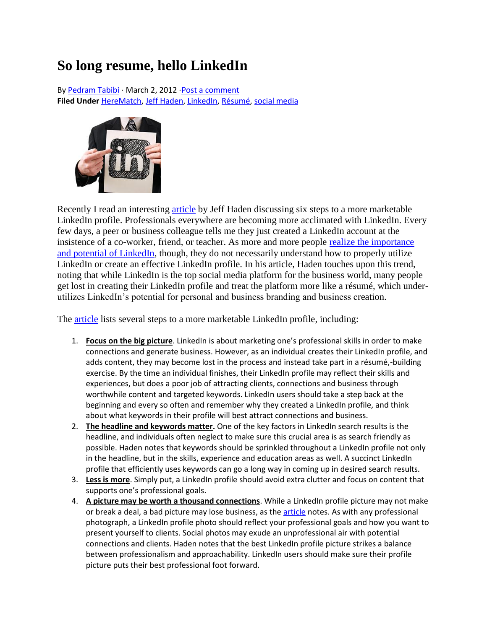## **So long resume, hello LinkedIn**

B[y Pedram Tabibi](http://libn.com/youngisland/author/pedram-tabibi/) ⋅ March 2, 2012 ⋅[Post a comment](http://libn.com/youngisland/2012/03/02/so-long-resume-hello-linkedin/#comments) **Filed Under** [HereMatch,](http://libn.com/youngisland/tag/herematch/) [Jeff Haden,](http://libn.com/youngisland/tag/jeff-haden/) [LinkedIn,](http://libn.com/youngisland/tag/linkedin/) [Résumé,](http://libn.com/youngisland/tag/resume/) [social media](http://libn.com/youngisland/tag/social-media/)



Recently I read an interesting [article](http://www.inc.com/jeff-haden/how-to-market-yourself-with-linkedin-profile-6-steps.html) by Jeff Haden discussing six steps to a more marketable LinkedIn profile. Professionals everywhere are becoming more acclimated with LinkedIn. Every few days, a peer or business colleague tells me they just created a LinkedIn account at the insistence of a co-worker, friend, or teacher. As more and more people [realize the importance](http://libn.com/youngisland/2011/11/11/linkedin-now-the-social-media-platform-of-choice/)  [and potential of LinkedIn,](http://libn.com/youngisland/2011/11/11/linkedin-now-the-social-media-platform-of-choice/) though, they do not necessarily understand how to properly utilize LinkedIn or create an effective LinkedIn profile. In his article, Haden touches upon this trend, noting that while LinkedIn is the top social media platform for the business world, many people get lost in creating their LinkedIn profile and treat the platform more like a résumé, which underutilizes LinkedIn's potential for personal and business branding and business creation.

The [article](http://www.inc.com/jeff-haden/how-to-market-yourself-with-linkedin-profile-6-steps.html) lists several steps to a more marketable LinkedIn profile, including:

- 1. **Focus on the big picture**. LinkedIn is about marketing one's professional skills in order to make connections and generate business. However, as an individual creates their LinkedIn profile, and adds content, they may become lost in the process and instead take part in a résumé,-building exercise. By the time an individual finishes, their LinkedIn profile may reflect their skills and experiences, but does a poor job of attracting clients, connections and business through worthwhile content and targeted keywords. LinkedIn users should take a step back at the beginning and every so often and remember why they created a LinkedIn profile, and think about what keywords in their profile will best attract connections and business.
- 2. **The headline and keywords matter.** One of the key factors in LinkedIn search results is the headline, and individuals often neglect to make sure this crucial area is as search friendly as possible. Haden notes that keywords should be sprinkled throughout a LinkedIn profile not only in the headline, but in the skills, experience and education areas as well. A succinct LinkedIn profile that efficiently uses keywords can go a long way in coming up in desired search results.
- 3. **Less is more**. Simply put, a LinkedIn profile should avoid extra clutter and focus on content that supports one's professional goals.
- 4. **A picture may be worth a thousand connections**. While a LinkedIn profile picture may not make or break a deal, a bad picture may lose business, as the [article](http://www.inc.com/jeff-haden/how-to-market-yourself-with-linkedin-profile-6-steps.html) notes. As with any professional photograph, a LinkedIn profile photo should reflect your professional goals and how you want to present yourself to clients. Social photos may exude an unprofessional air with potential connections and clients. Haden notes that the best LinkedIn profile picture strikes a balance between professionalism and approachability. LinkedIn users should make sure their profile picture puts their best professional foot forward.